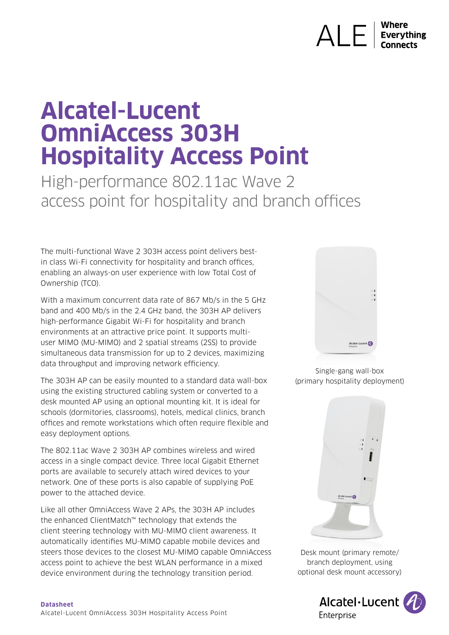# $AI$   $F1$ **Everything**

# **Alcatel-Lucent OmniAccess 303H Hospitality Access Point**

High-performance 802.11ac Wave 2 access point for hospitality and branch offices

The multi-functional Wave 2 303H access point delivers bestin class Wi-Fi connectivity for hospitality and branch offices, enabling an always-on user experience with low Total Cost of Ownership (TCO).

With a maximum concurrent data rate of 867 Mb/s in the 5 GHz band and 400 Mb/s in the 2.4 GHz band, the 303H AP delivers high-performance Gigabit Wi-Fi for hospitality and branch environments at an attractive price point. It supports multiuser MIMO (MU-MIMO) and 2 spatial streams (2SS) to provide simultaneous data transmission for up to 2 devices, maximizing data throughput and improving network efficiency.

The 303H AP can be easily mounted to a standard data wall-box using the existing structured cabling system or converted to a desk mounted AP using an optional mounting kit. It is ideal for schools (dormitories, classrooms), hotels, medical clinics, branch offices and remote workstations which often require flexible and easy deployment options.

The 802.11ac Wave 2 303H AP combines wireless and wired access in a single compact device. Three local Gigabit Ethernet ports are available to securely attach wired devices to your network. One of these ports is also capable of supplying PoE power to the attached device.

Like all other OmniAccess Wave 2 APs, the 303H AP includes the enhanced ClientMatch™ technology that extends the client steering technology with MU-MIMO client awareness. It automatically identifies MU-MIMO capable mobile devices and steers those devices to the closest MU-MIMO capable OmniAccess access point to achieve the best WLAN performance in a mixed device environment during the technology transition period.



Single-gang wall-box (primary hospitality deployment)



Desk mount (primary remote/ branch deployment, using optional desk mount accessory)

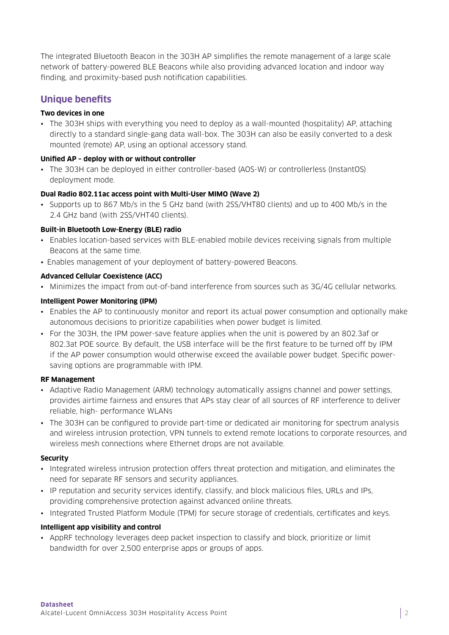The integrated Bluetooth Beacon in the 303H AP simplifies the remote management of a large scale network of battery-powered BLE Beacons while also providing advanced location and indoor way finding, and proximity-based push notification capabilities.

# **Unique benefits**

#### **Two devices in one**

• The 303H ships with everything you need to deploy as a wall-mounted (hospitality) AP, attaching directly to a standard single-gang data wall-box. The 303H can also be easily converted to a desk mounted (remote) AP, using an optional accessory stand.

#### **Unified AP – deploy with or without controller**

• The 303H can be deployed in either controller-based (AOS-W) or controllerless (InstantOS) deployment mode.

# **Dual Radio 802.11ac access point with Multi-User MIMO (Wave 2)**

• Supports up to 867 Mb/s in the 5 GHz band (with 2SS/VHT80 clients) and up to 400 Mb/s in the 2.4 GHz band (with 2SS/VHT40 clients).

# **Built-in Bluetooth Low-Energy (BLE) radio**

- Enables location-based services with BLE-enabled mobile devices receiving signals from multiple Beacons at the same time.
- Enables management of your deployment of battery-powered Beacons.

# **Advanced Cellular Coexistence (ACC)**

• Minimizes the impact from out-of-band interference from sources such as 3G/4G cellular networks.

# **Intelligent Power Monitoring (IPM)**

- Enables the AP to continuously monitor and report its actual power consumption and optionally make autonomous decisions to prioritize capabilities when power budget is limited.
- For the 303H, the IPM power-save feature applies when the unit is powered by an 802.3af or 802.3at POE source. By default, the USB interface will be the first feature to be turned off by IPM if the AP power consumption would otherwise exceed the available power budget. Specific powersaving options are programmable with IPM.

#### **RF Management**

- Adaptive Radio Management (ARM) technology automatically assigns channel and power settings, provides airtime fairness and ensures that APs stay clear of all sources of RF interference to deliver reliable, high- performance WLANs
- The 303H can be configured to provide part-time or dedicated air monitoring for spectrum analysis and wireless intrusion protection, VPN tunnels to extend remote locations to corporate resources, and wireless mesh connections where Ethernet drops are not available.

#### **Security**

- Integrated wireless intrusion protection offers threat protection and mitigation, and eliminates the need for separate RF sensors and security appliances.
- IP reputation and security services identify, classify, and block malicious files, URLs and IPs, providing comprehensive protection against advanced online threats.
- Integrated Trusted Platform Module (TPM) for secure storage of credentials, certificates and keys.

#### **Intelligent app visibility and control**

• AppRF technology leverages deep packet inspection to classify and block, prioritize or limit bandwidth for over 2,500 enterprise apps or groups of apps.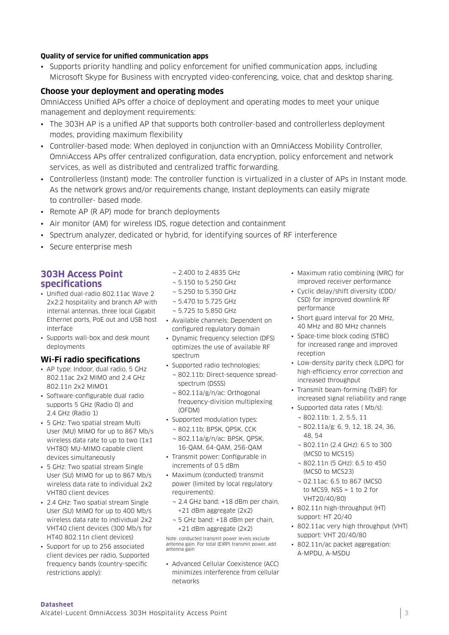#### **Quality of service for unified communication apps**

• Supports priority handling and policy enforcement for unified communication apps, including Microsoft Skype for Business with encrypted video-conferencing, voice, chat and desktop sharing.

#### **Choose your deployment and operating modes**

OmniAccess Unified APs offer a choice of deployment and operating modes to meet your unique management and deployment requirements:

- The 303H AP is a unified AP that supports both controller-based and controllerless deployment modes, providing maximum flexibility
- Controller-based mode: When deployed in conjunction with an OmniAccess Mobility Controller, OmniAccess APs offer centralized configuration, data encryption, policy enforcement and network services, as well as distributed and centralized traffic forwarding.
- Controllerless (Instant) mode: The controller function is virtualized in a cluster of APs in Instant mode. As the network grows and/or requirements change, Instant deployments can easily migrate to controller- based mode.
- Remote AP (R AP) mode for branch deployments
- Air monitor (AM) for wireless IDS, rogue detection and containment
- Spectrum analyzer, dedicated or hybrid, for identifying sources of RF interference
- Secure enterprise mesh

# **303H Access Point specifications**

- Unified dual-radio 802.11ac Wave 2 2x2:2 hospitality and branch AP with internal antennas, three local Gigabit Ethernet ports, PoE out and USB host interface
- Supports wall-box and desk mount deployments

#### **Wi-Fi radio specifications**

- AP type: Indoor, dual radio, 5 GHz 802.11ac 2x2 MIMO and 2.4 GHz 802.11n 2x2 MIMO1
- Software-configurable dual radio supports 5 GHz (Radio 0) and 2.4 GHz (Radio 1)
- 5 GHz: Two spatial stream Multi User (MU) MIMO for up to 867 Mb/s wireless data rate to up to two (1x1 VHT80) MU-MIMO capable client devices simultaneously
- 5 GHz: Two spatial stream Single User (SU) MIMO for up to 867 Mb/s wireless data rate to individual 2x2 VHT80 client devices
- 2.4 GHz: Two spatial stream Single User (SU) MIMO for up to 400 Mb/s wireless data rate to individual 2x2 VHT40 client devices (300 Mb/s for HT40 802.11n client devices)
- Support for up to 256 associated client devices per radio, Supported frequency bands (country-specific restrictions apply):

#### ¬ 2.400 to 2.4835 GHz

- ¬ 5.150 to 5.250 GHz
- ¬ 5.250 to 5.350 GHz
- ¬ 5.470 to 5.725 GHz
- ¬ 5.725 to 5.850 GHz
- Available channels: Dependent on configured regulatory domain
	- Dynamic frequency selection (DFS) optimizes the use of available RF spectrum
	- Supported radio technologies:
		- ¬ 802.11b: Direct-sequence spreadspectrum (DSSS)
	- ¬ 802.11a/g/n/ac: Orthogonal frequency-division multiplexing (OFDM)
	- Supported modulation types:
		- ¬ 802.11b: BPSK, QPSK, CCK
		- ¬ 802.11a/g/n/ac: BPSK, QPSK, 16-QAM, 64-QAM, 256-QAM
	- Transmit power: Configurable in increments of 0.5 dBm
	- Maximum (conducted) transmit power (limited by local regulatory requirements):
		- ¬ 2.4 GHz band: +18 dBm per chain, +21 dBm aggregate (2x2)
		- ¬ 5 GHz band: +18 dBm per chain, +21 dBm aggregate (2x2)

Note: conducted transmit power levels exclude antenna gain. For total (EIRP) transmit power, add antenna gain

• Advanced Cellular Coexistence (ACC) minimizes interference from cellular networks

- Maximum ratio combining (MRC) for improved receiver performance
- Cyclic delay/shift diversity (CDD/ CSD) for improved downlink RF performance
- Short guard interval for 20 MHz, 40 MHz and 80 MHz channels
- Space-time block coding (STBC) for increased range and improved reception
- Low-density parity check (LDPC) for high-efficiency error correction and increased throughput
- Transmit beam-forming (TxBF) for increased signal reliability and range
- Supported data rates ( Mb/s): ¬ 802.11b: 1, 2, 5.5, 11
	- ¬ 802.11a/g: 6, 9, 12, 18, 24, 36, 48, 54
	- ¬ 802.11n (2.4 GHz): 6.5 to 300 (MCS0 to MCS15)
	- ¬ 802.11n (5 GHz): 6.5 to 450 (MCS0 to MCS23)
	- ¬ 02.11ac: 6.5 to 867 (MCS0 to MCS9,  $NSS = 1$  to 2 for VHT20/40/80)
- 802.11n high-throughput (HT) support: HT 20/40
- 802.11ac very high throughput (VHT) support: VHT 20/40/80
- 802.11n/ac packet aggregation: A-MPDU, A-MSDU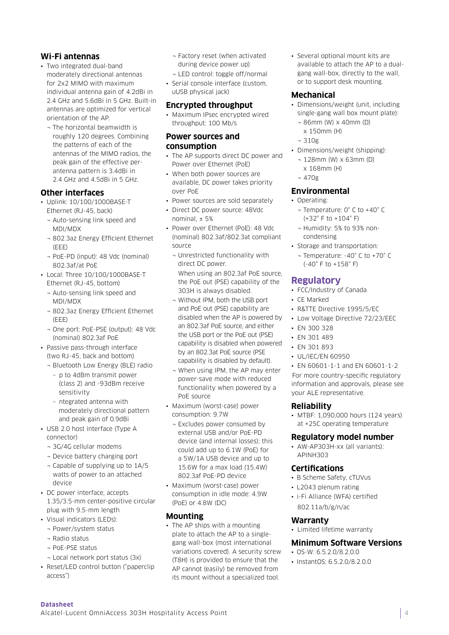# **Wi-Fi antennas**

- Two integrated dual-band moderately directional antennas for 2x2 MIMO with maximum individual antenna gain of 4.2dBi in 2.4 GHz and 5.6dBi in 5 GHz. Built-in antennas are optimized for vertical orientation of the AP.
	- ¬ The horizontal beamwidth is roughly 120 degrees. Combining the patterns of each of the antennas of the MIMO radios, the peak gain of the effective perantenna pattern is 3.4dBi in 2.4 GHz and 4.5dBi in 5 GHz.

# **Other interfaces**

- Uplink: 10/100/1000BASE-T Ethernet (RJ-45, back)
	- ¬ Auto-sensing link speed and MDI/MDX
	- ¬ 802.3az Energy Efficient Ethernet (EEE)
	- ¬ PoE-PD (input): 48 Vdc (nominal) 802.3af/at PoE
- Local: Three 10/100/1000BASE-T Ethernet (RJ-45, bottom)
	- ¬ Auto-sensing link speed and MDI/MDX
	- ¬ 802.3az Energy Efficient Ethernet (EEE)
	- ¬ One port: PoE-PSE (output): 48 Vdc (nominal) 802.3af PoE
- Passive pass-through interface (two RJ-45, back and bottom)
	- ¬ Bluetooth Low Energy (BLE) radio
		- p to 4dBm transmit power (class 2) and -93dBm receive sensitivity
	- ntegrated antenna with moderately directional pattern and peak gain of 0.9dBi
- USB 2.0 host interface (Type A connector)
	- ¬ 3G/4G cellular modems
	- ¬ Device battery charging port
	- ¬ Capable of supplying up to 1A/5 watts of power to an attached device
- DC power interface, accepts 1.35/3.5-mm center-positive circular plug with 9.5-mm length
- Visual indicators (LEDs):
	- ¬ Power/system status
	- ¬ Radio status
	- ¬ PoE-PSE status
	- ¬ Local network port status (3x)
- Reset/LED control button ("paperclip access")
- ¬ Factory reset (when activated during device power up)
- ¬ LED control: toggle off/normal
- Serial console interface (custom, uUSB physical jack)

#### **Encrypted throughput**

• Maximum IPsec encrypted wired throughput: 100 Mb/s

#### **Power sources and consumption**

- The AP supports direct DC power and Power over Ethernet (PoE)
- When both power sources are available, DC power takes priority over PoE
- Power sources are sold separately
- Direct DC power source: 48Vdc nominal  $\pm$  5%
- Power over Ethernet (PoE): 48 Vdc (nominal) 802.3af/802.3at compliant source
	- ¬ Unrestricted functionality with direct DC power. When using an 802.3af PoE source, the PoE out (PSE) capability of the 303H is always disabled.
	- ¬ Without IPM, both the USB port and PoE out (PSE) capability are disabled when the AP is powered by an 802.3af PoE source, and either the USB port or the PoE out (PSE) capability is disabled when powered by an 802.3at PoE source (PSE capability is disabled by default).
	- ¬ When using IPM, the AP may enter power-save mode with reduced functionality when powered by a PoE source
- Maximum (worst-case) power consumption: 9.7W
	- ¬ Excludes power consumed by external USB and/or PoE-PD device (and internal losses); this could add up to 6.1W (PoE) for a 5W/1A USB device and up to 15.6W for a max load (15.4W) 802.3af PoE-PD device
- Maximum (worst-case) power consumption in idle mode: 4.9W (PoE) or 4.8W (DC)

#### **Mounting**

• The AP ships with a mounting plate to attach the AP to a singlegang wall-box (most international variations covered). A security screw (T8H) is provided to ensure that the AP cannot (easily) be removed from its mount without a specialized tool.

• Several optional mount kits are available to attach the AP to a dualgang wall-box, directly to the wall, or to support desk mounting.

#### **Mechanical**

- Dimensions/weight (unit, including single-gang wall box mount plate):
	- ¬ 86mm (W) x 40mm (D)
	- x 150mm (H)
	- ¬ 310g
- Dimensions/weight (shipping):
	- ¬ 128mm (W) x 63mm (D)
	- x 168mm (H)
- ¬ 470g

# **Environmental**

- Operating:
	- ¬ Temperature: 0° C to +40° C (+32° F to +104° F)
	- ¬ Humidity: 5% to 93% noncondensing
- Storage and transportation:
	- ¬ Temperature: -40° C to +70° C (-40° F to +158° F)

#### **Regulatory**

- FCC/Industry of Canada
- CE Marked
- R&TTE Directive 1995/5/EC
- Low Voltage Directive 72/23/EEC
- EN 300 328
- EN 301 489
- EN 301 893
- UL/IEC/EN 60950

• EN 60601-1-1 and EN 60601-1-2 For more country-specific regulatory information and approvals, please see your ALE representative.

#### **Reliability**

• MTBF: 1,090,000 hours (124 years) at +25C operating temperature

#### **Regulatory model number**

• AW-AP303H-xx (all variants): APINH303

#### **Certifications**

- B Scheme Safety, cTUVus
- L2043 plenum rating
- i-Fi Alliance (WFA) certified 802.11a/b/g/n/ac

#### **Warranty**

• Limited lifetime warranty

#### **Minimum Software Versions**

- OS-W: 6.5.2.0/8.2.0.0
- InstantOS: 6.5.2.0/8.2.0.0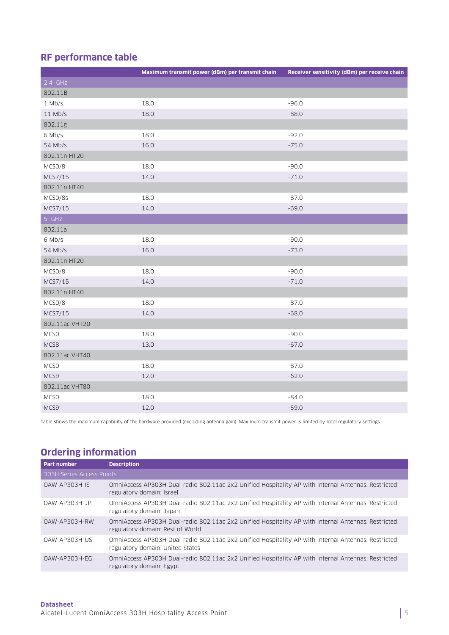# **RF performance table**

|                  | Maximum transmit power (dBm) per transmit chain | Receiver sensitivity (dBm) per receive chain |
|------------------|-------------------------------------------------|----------------------------------------------|
| 2.4 GHz          |                                                 |                                              |
| 802.11B          |                                                 |                                              |
| $1$ Mb/s         | 18.0                                            | $-96.0$                                      |
| $11$ Mb/s        | 18.0                                            | $-88.0$                                      |
| 802.11g          |                                                 |                                              |
| 6 Mb/s           | 18.0                                            | $-92.0$                                      |
| 54 Mb/s          | 16.0                                            | $-75.0$                                      |
| 802.11n HT20     |                                                 |                                              |
| MCSO/8           | 18.0                                            | $-90.0$                                      |
| MCS7/15          | 14.0                                            | $-71.0$                                      |
| 802.11n HT40     |                                                 |                                              |
| MCSO/8s          | 18.0                                            | $-87.0$                                      |
| MCS7/15          | 14.0                                            | $-69.0$                                      |
| 5 GHz            |                                                 |                                              |
| 802.11a          |                                                 |                                              |
| 6 Mb/s           | 18.0                                            | $-90.0$                                      |
| 54 Mb/s          | 16.0                                            | $-73.0$                                      |
| 802.11n HT20     |                                                 |                                              |
| MCSO/8           | 18.0                                            | $-90.0$                                      |
| MCS7/15          | 14.0                                            | $-71.0$                                      |
| 802.11n HT40     |                                                 |                                              |
| MCSO/8           | 18.0                                            | $-87.0$                                      |
| MCS7/15          | 14.0                                            | $-68.0$                                      |
| 802.11ac VHT20   |                                                 |                                              |
| MCS <sub>0</sub> | 18.0                                            | $-90.0$                                      |
| MCS8             | 13.0                                            | $-67.0$                                      |
| 802.11ac VHT40   |                                                 |                                              |
| MCSO             | 18.0                                            | $-87.0$                                      |
| MCS9             | 12.0                                            | $-62.0$                                      |
| 802.11ac VHT80   |                                                 |                                              |
| MCSO             | 18.0                                            | $-84.0$                                      |
| MCS9             | 12.0                                            | $-59.0$                                      |

Table shows the maximum capability of the hardware provided (excluding antenna gain). Maximum transmit power is limited by local regulatory settings.

# **Ordering information**

| <b>Part number</b>        | <b>Description</b>                                                                                                                      |  |
|---------------------------|-----------------------------------------------------------------------------------------------------------------------------------------|--|
| 303H Series Access Points |                                                                                                                                         |  |
| OAW-AP303H-IS             | OmniAccess AP303H Dual-radio 802.11ac 2x2 Unified Hospitality AP with Internal Antennas. Restricted<br>regulatory domain: Israel        |  |
| $0AW-AP303H-JP$           | OmniAccess AP303H Dual-radio 802.11ac 2x2 Unified Hospitality AP with Internal Antennas, Restricted<br>regulatory domain: Japan         |  |
| OAW-AP303H-RW             | OmniAccess AP303H Dual-radio 802.11ac 2x2 Unified Hospitality AP with Internal Antennas. Restricted<br>regulatory domain: Rest of World |  |
| OAW-AP303H-US             | OmniAccess AP303H Dual-radio 802.11ac 2x2 Unified Hospitality AP with Internal Antennas. Restricted<br>regulatory domain: United States |  |
| OAW-AP303H-EG             | OmniAccess AP303H Dual-radio 802.11ac 2x2 Unified Hospitality AP with Internal Antennas. Restricted<br>regulatory domain: Egypt         |  |